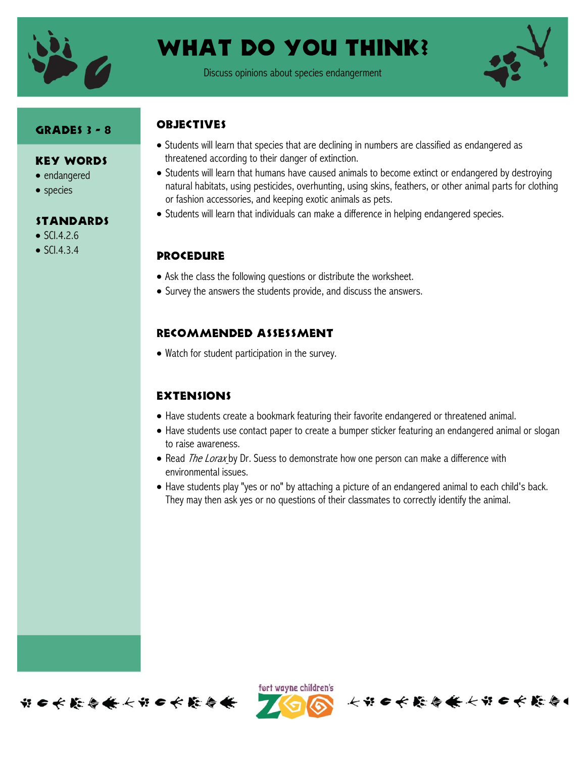

# What do you think?

Discuss opinions about species endangerment



### Grades 3 - 8

#### Key Words

- endangered
- species

### **STANDARDS**

- $\bullet$  SCI.4.2.6
- $\bullet$  SCI.4.3.4

## **OBJECTIVES**

- Students will learn that species that are declining in numbers are classified as endangered as threatened according to their danger of extinction.
- Students will learn that humans have caused animals to become extinct or endangered by destroying natural habitats, using pesticides, overhunting, using skins, feathers, or other animal parts for clothing or fashion accessories, and keeping exotic animals as pets.
- Students will learn that individuals can make a difference in helping endangered species.

## **PROCEDURE**

- Ask the class the following questions or distribute the worksheet.
- Survey the answers the students provide, and discuss the answers.

## Recommended assessment

Watch for student participation in the survey.

#### **EXTENSIONS**

- Have students create a bookmark featuring their favorite endangered or threatened animal.
- Have students use contact paper to create a bumper sticker featuring an endangered animal or slogan to raise awareness.
- Read *The Lorax* by Dr. Suess to demonstrate how one person can make a difference with environmental issues.
- Have students play "yes or no" by attaching a picture of an endangered animal to each child's back. They may then ask yes or no questions of their classmates to correctly identify the animal.